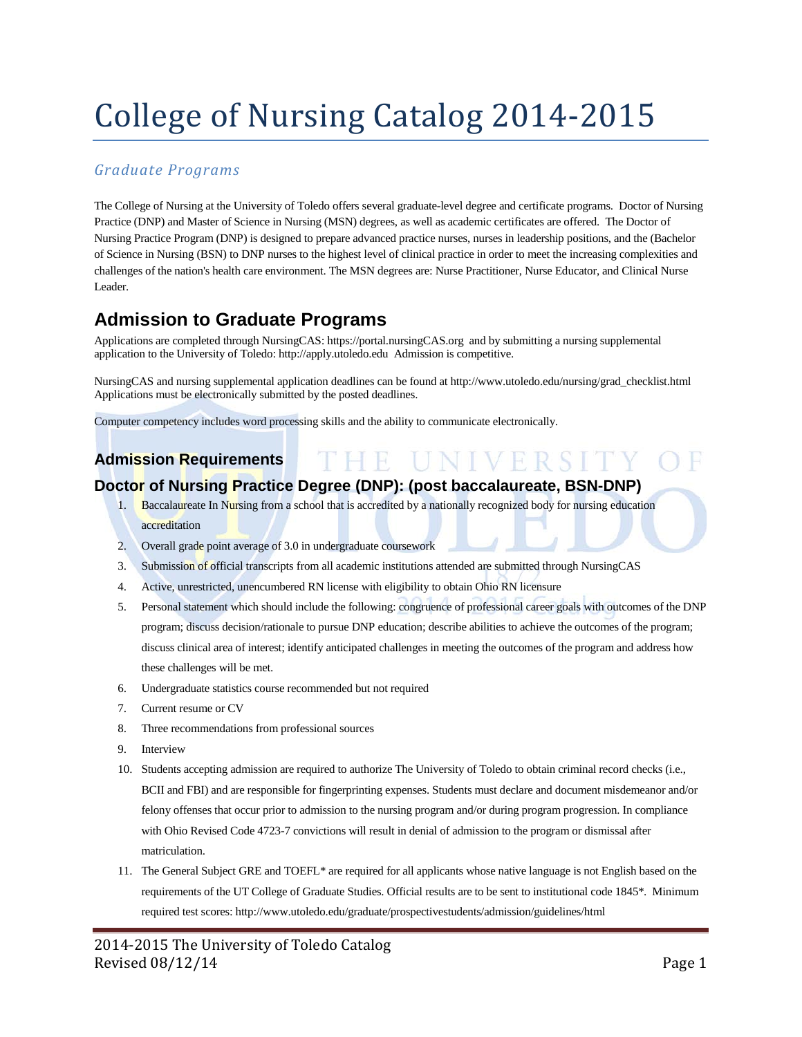# College of Nursing Catalog 2014-2015

## *Graduate Programs*

The College of Nursing at the University of Toledo offers several graduate-level degree and certificate programs. Doctor of Nursing Practice (DNP) and Master of Science in Nursing (MSN) degrees, as well as academic certificates are offered. The Doctor of Nursing Practice Program (DNP) is designed to prepare advanced practice nurses, nurses in leadership positions, and the (Bachelor of Science in Nursing (BSN) to DNP nurses to the highest level of clinical practice in order to meet the increasing complexities and challenges of the nation's health care environment. The MSN degrees are: Nurse Practitioner, Nurse Educator, and Clinical Nurse Leader.

## **Admission to Graduate Programs**

Applications are completed through NursingCAS: https://portal.nursingCAS.org and by submitting a nursing supplemental application to the University of Toledo: http://apply.utoledo.edu Admission is competitive.

NursingCAS and nursing supplemental application deadlines can be found at http://www.utoledo.edu/nursing/grad\_checklist.html Applications must be electronically submitted by the posted deadlines.

HE UNIVERSITY

Computer competency includes word processing skills and the ability to communicate electronically.

## **Admission Requirements**

## **Doctor of Nursing Practice Degree (DNP): (post baccalaureate, BSN-DNP)**

- 1. Baccalaureate In Nursing from a school that is accredited by a nationally recognized body for nursing education accreditation
- 2. Overall grade point average of 3.0 in undergraduate coursework
- 3. Submission of official transcripts from all academic institutions attended are submitted through NursingCAS
- 4. Active, unrestricted, unencumbered RN license with eligibility to obtain Ohio RN licensure
- 5. Personal statement which should include the following: congruence of professional career goals with outcomes of the DNP program; discuss decision/rationale to pursue DNP education; describe abilities to achieve the outcomes of the program; discuss clinical area of interest; identify anticipated challenges in meeting the outcomes of the program and address how these challenges will be met.
- 6. Undergraduate statistics course recommended but not required
- 7. Current resume or CV
- 8. Three recommendations from professional sources
- 9. Interview
- 10. Students accepting admission are required to authorize The University of Toledo to obtain criminal record checks (i.e., BCII and FBI) and are responsible for fingerprinting expenses. Students must declare and document misdemeanor and/or felony offenses that occur prior to admission to the nursing program and/or during program progression. In compliance with Ohio Revised Code 4723-7 convictions will result in denial of admission to the program or dismissal after matriculation.
- 11. The General Subject GRE and TOEFL\* are required for all applicants whose native language is not English based on the requirements of the UT College of Graduate Studies. Official results are to be sent to institutional code 1845\*. Minimum required test scores: http://www.utoledo.edu/graduate/prospectivestudents/admission/guidelines/html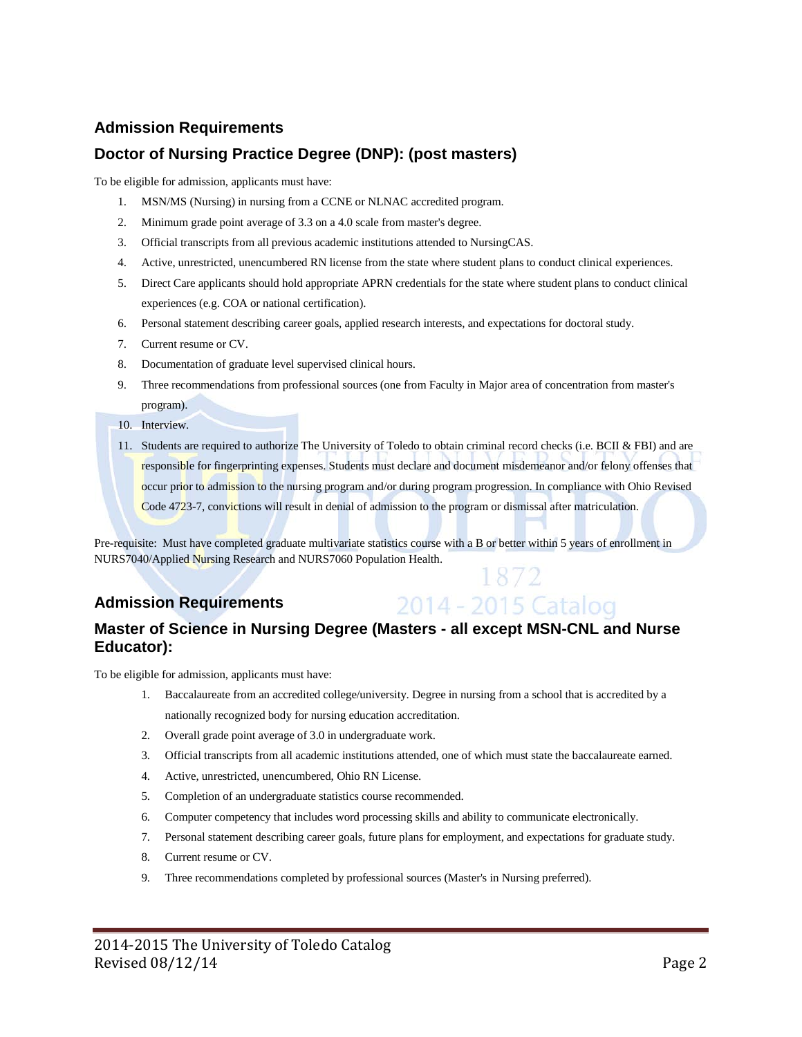## **Doctor of Nursing Practice Degree (DNP): (post masters)**

To be eligible for admission, applicants must have:

- 1. MSN/MS (Nursing) in nursing from a CCNE or NLNAC accredited program.
- 2. Minimum grade point average of 3.3 on a 4.0 scale from master's degree.
- 3. Official transcripts from all previous academic institutions attended to NursingCAS.
- 4. Active, unrestricted, unencumbered RN license from the state where student plans to conduct clinical experiences.
- 5. Direct Care applicants should hold appropriate APRN credentials for the state where student plans to conduct clinical experiences (e.g. COA or national certification).
- 6. Personal statement describing career goals, applied research interests, and expectations for doctoral study.
- 7. Current resume or CV.
- 8. Documentation of graduate level supervised clinical hours.
- 9. Three recommendations from professional sources (one from Faculty in Major area of concentration from master's program).

10. Interview.

11. Students are required to authorize The University of Toledo to obtain criminal record checks (i.e. BCII & FBI) and are responsible for fingerprinting expenses. Students must declare and document misdemeanor and/or felony offenses that occur prior to admission to the nursing program and/or during program progression. In compliance with Ohio Revised Code 4723-7, convictions will result in denial of admission to the program or dismissal after matriculation.

1872

2014 - 2015 Catalog

Pre-requisite: Must have completed graduate multivariate statistics course with a B or better within 5 years of enrollment in NURS7040/Applied Nursing Research and NURS7060 Population Health.

## **Admission Requirements**

## **Master of Science in Nursing Degree (Masters - all except MSN-CNL and Nurse Educator):**

To be eligible for admission, applicants must have:

- 1. Baccalaureate from an accredited college/university. Degree in nursing from a school that is accredited by a nationally recognized body for nursing education accreditation.
- 2. Overall grade point average of 3.0 in undergraduate work.
- 3. Official transcripts from all academic institutions attended, one of which must state the baccalaureate earned.
- 4. Active, unrestricted, unencumbered, Ohio RN License.
- 5. Completion of an undergraduate statistics course recommended.
- 6. Computer competency that includes word processing skills and ability to communicate electronically.
- 7. Personal statement describing career goals, future plans for employment, and expectations for graduate study.
- 8. Current resume or CV.
- 9. Three recommendations completed by professional sources (Master's in Nursing preferred).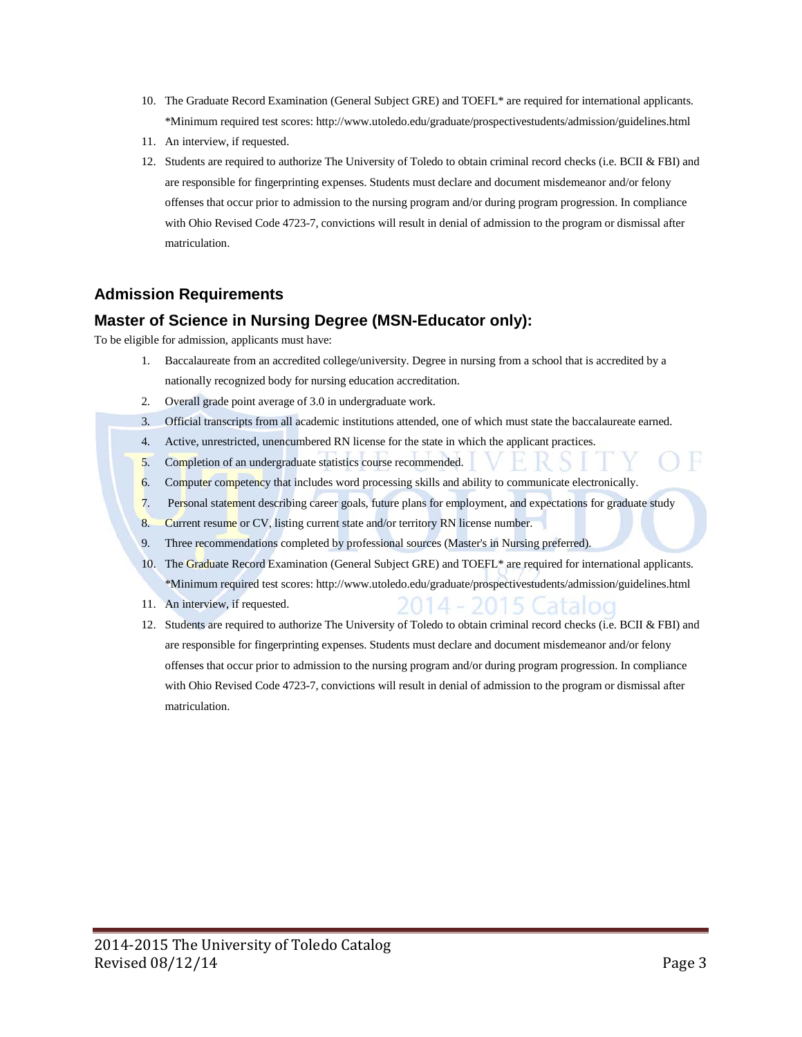- 10. The Graduate Record Examination (General Subject GRE) and TOEFL\* are required for international applicants. \*Minimum required test scores[: http://www.utoledo.edu/graduate/prospectivestudents/admission/guidelines.html](http://www.utoledo.edu/graduate/prospectivestudents/admission/guidelines.html)
- 11. An interview, if requested.
- 12. Students are required to authorize The University of Toledo to obtain criminal record checks (i.e. BCII & FBI) and are responsible for fingerprinting expenses. Students must declare and document misdemeanor and/or felony offenses that occur prior to admission to the nursing program and/or during program progression. In compliance with Ohio Revised Code 4723-7, convictions will result in denial of admission to the program or dismissal after matriculation.

## **Master of Science in Nursing Degree (MSN-Educator only):**

To be eligible for admission, applicants must have:

- 1. Baccalaureate from an accredited college/university. Degree in nursing from a school that is accredited by a nationally recognized body for nursing education accreditation.
- 2. Overall grade point average of 3.0 in undergraduate work.
- 3. Official transcripts from all academic institutions attended, one of which must state the baccalaureate earned.
- 4. Active, unrestricted, unencumbered RN license for the state in which the applicant practices.
- 5. Completion of an undergraduate statistics course recommended.
- 6. Computer competency that includes word processing skills and ability to communicate electronically.
- 7. Personal statement describing career goals, future plans for employment, and expectations for graduate study
- 8. Current resume or CV, listing current state and/or territory RN license number.
- 9. Three recommendations completed by professional sources (Master's in Nursing preferred).
- 10. The Graduate Record Examination (General Subject GRE) and TOEFL\* are required for international applicants. \*Minimum required test scores[: http://www.utoledo.edu/graduate/prospectivestudents/admission/guidelines.html](http://www.utoledo.edu/graduate/prospectivestudents/admission/guidelines.html)
- 11. An interview, if requested.
- 12. Students are required to authorize The University of Toledo to obtain criminal record checks (i.e. BCII & FBI) and are responsible for fingerprinting expenses. Students must declare and document misdemeanor and/or felony offenses that occur prior to admission to the nursing program and/or during program progression. In compliance with Ohio Revised Code 4723-7, convictions will result in denial of admission to the program or dismissal after matriculation.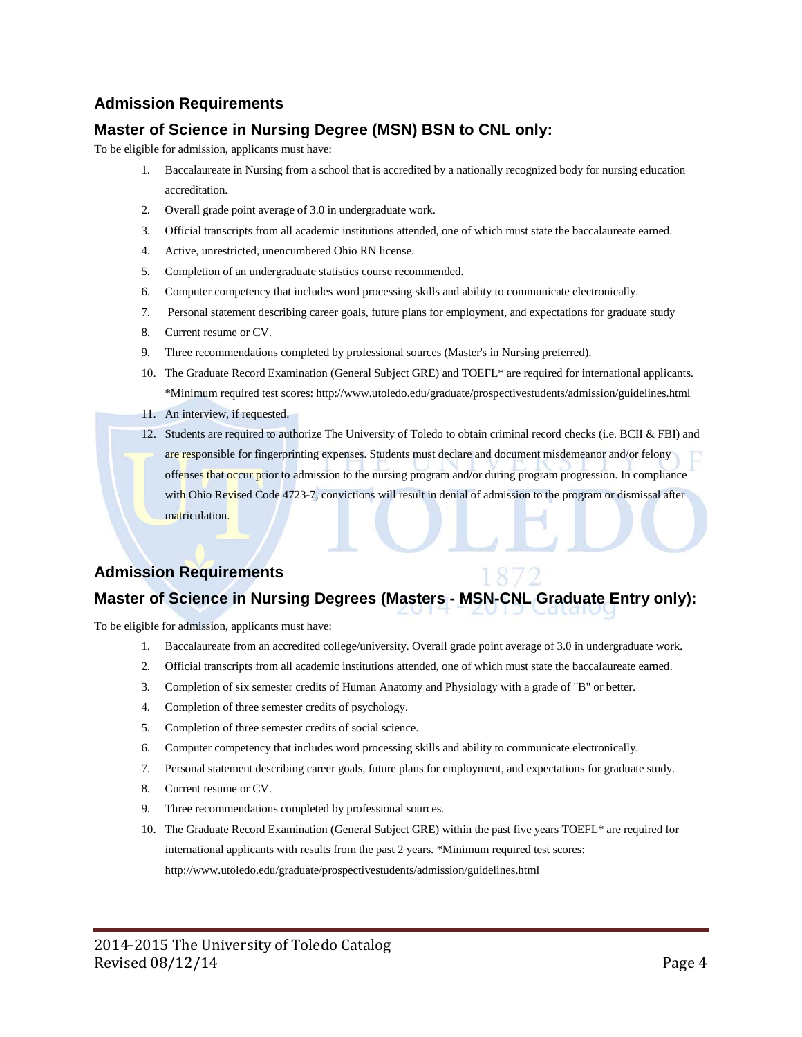## **Master of Science in Nursing Degree (MSN) BSN to CNL only:**

To be eligible for admission, applicants must have:

- 1. Baccalaureate in Nursing from a school that is accredited by a nationally recognized body for nursing education accreditation.
- 2. Overall grade point average of 3.0 in undergraduate work.
- 3. Official transcripts from all academic institutions attended, one of which must state the baccalaureate earned.
- 4. Active, unrestricted, unencumbered Ohio RN license.
- 5. Completion of an undergraduate statistics course recommended.
- 6. Computer competency that includes word processing skills and ability to communicate electronically.
- 7. Personal statement describing career goals, future plans for employment, and expectations for graduate study
- 8. Current resume or CV.
- 9. Three recommendations completed by professional sources (Master's in Nursing preferred).
- 10. The Graduate Record Examination (General Subject GRE) and TOEFL\* are required for international applicants. \*Minimum required test scores[: http://www.utoledo.edu/graduate/prospectivestudents/admission/guidelines.html](http://www.utoledo.edu/graduate/prospectivestudents/admission/guidelines.html)
- 11. An interview, if requested.
- 12. Students are required to authorize The University of Toledo to obtain criminal record checks (i.e. BCII & FBI) and

are responsible for fingerprinting expenses. Students must declare and document misdemeanor and/or felony offenses that occur prior to admission to the nursing program and/or during program progression. In compliance with Ohio Revised Code 4723-7, convictions will result in denial of admission to the program or dismissal after matriculation.

## **Admission Requirements**

## **Master of Science in Nursing Degrees (Masters - MSN-CNL Graduate Entry only):**

To be eligible for admission, applicants must have:

- 1. Baccalaureate from an accredited college/university. Overall grade point average of 3.0 in undergraduate work.
- 2. Official transcripts from all academic institutions attended, one of which must state the baccalaureate earned.
- 3. Completion of six semester credits of Human Anatomy and Physiology with a grade of "B" or better.
- 4. Completion of three semester credits of psychology.
- 5. Completion of three semester credits of social science.
- 6. Computer competency that includes word processing skills and ability to communicate electronically.
- 7. Personal statement describing career goals, future plans for employment, and expectations for graduate study.
- 8. Current resume or CV.
- 9. Three recommendations completed by professional sources.
- 10. The Graduate Record Examination (General Subject GRE) within the past five years TOEFL\* are required for international applicants with results from the past 2 years. \*Minimum required test scores: <http://www.utoledo.edu/graduate/prospectivestudents/admission/guidelines.html>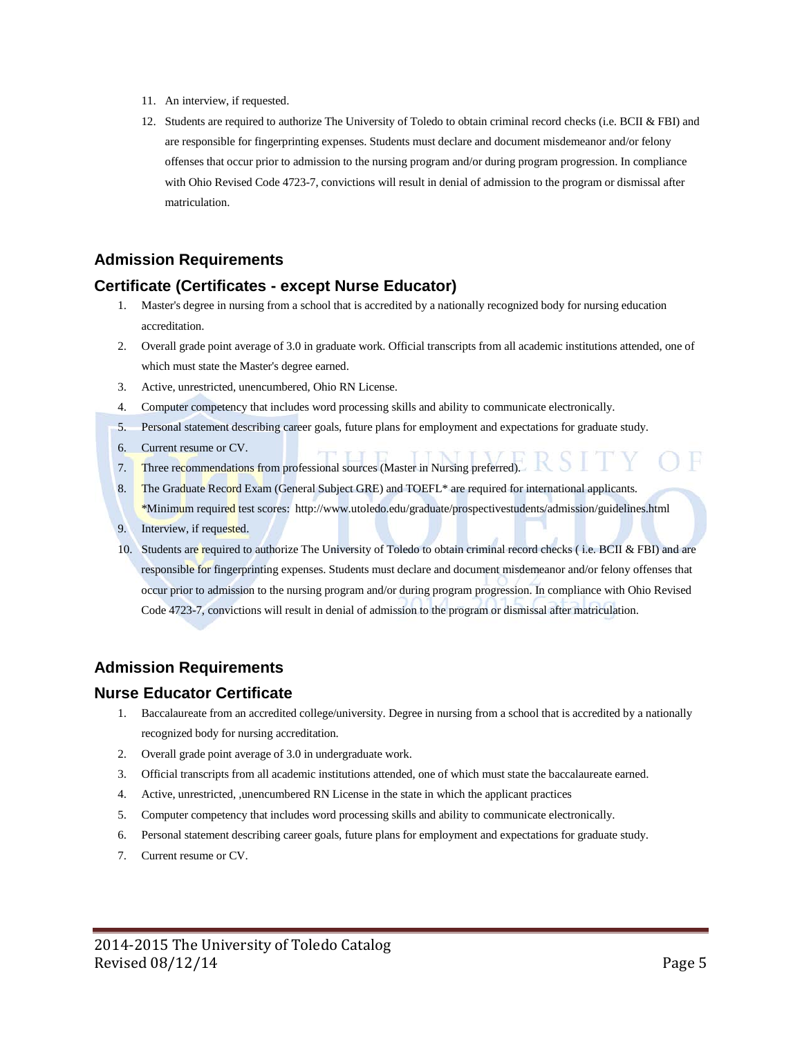- 11. An interview, if requested.
- 12. Students are required to authorize The University of Toledo to obtain criminal record checks (i.e. BCII & FBI) and are responsible for fingerprinting expenses. Students must declare and document misdemeanor and/or felony offenses that occur prior to admission to the nursing program and/or during program progression. In compliance with Ohio Revised Code 4723-7, convictions will result in denial of admission to the program or dismissal after matriculation.

### **Certificate (Certificates - except Nurse Educator)**

- 1. Master's degree in nursing from a school that is accredited by a nationally recognized body for nursing education accreditation.
- 2. Overall grade point average of 3.0 in graduate work. Official transcripts from all academic institutions attended, one of which must state the Master's degree earned.
- 3. Active, unrestricted, unencumbered, Ohio RN License.
- 4. Computer competency that includes word processing skills and ability to communicate electronically.
- 5. Personal statement describing career goals, future plans for employment and expectations for graduate study.
- 6. Current resume or CV.
- 7. Three recommendations from professional sources (Master in Nursing preferred).
- 8. The Graduate Record Exam (General Subject GRE) and TOEFL<sup>\*</sup> are required for international applicants. \*Minimum required test scores:<http://www.utoledo.edu/graduate/prospectivestudents/admission/guidelines.html>
- 9. Interview, if requested.
- 10. Students are required to authorize The University of Toledo to obtain criminal record checks (i.e. BCII & FBI) and are responsible for fingerprinting expenses. Students must declare and document misdemeanor and/or felony offenses that occur prior to admission to the nursing program and/or during program progression. In compliance with Ohio Revised Code 4723-7, convictions will result in denial of admission to the program or dismissal after matriculation.

## **Admission Requirements**

### **Nurse Educator Certificate**

- 1. Baccalaureate from an accredited college/university. Degree in nursing from a school that is accredited by a nationally recognized body for nursing accreditation.
- 2. Overall grade point average of 3.0 in undergraduate work.
- 3. Official transcripts from all academic institutions attended, one of which must state the baccalaureate earned.
- 4. Active, unrestricted, ,unencumbered RN License in the state in which the applicant practices
- 5. Computer competency that includes word processing skills and ability to communicate electronically.
- 6. Personal statement describing career goals, future plans for employment and expectations for graduate study.
- 7. Current resume or CV.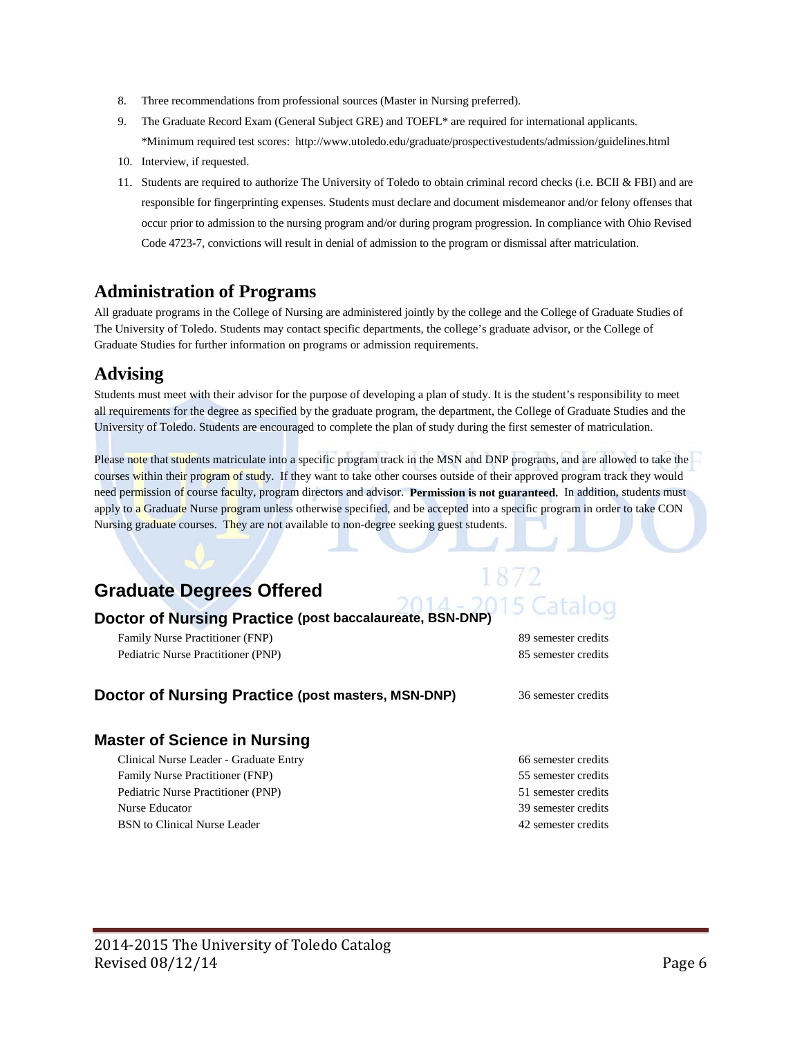- 8. Three recommendations from professional sources (Master in Nursing preferred).
- 9. The Graduate Record Exam (General Subject GRE) and TOEFL\* are required for international applicants. \*Minimum required test scores:<http://www.utoledo.edu/graduate/prospectivestudents/admission/guidelines.html>
- 10. Interview, if requested.
- 11. Students are required to authorize The University of Toledo to obtain criminal record checks (i.e. BCII & FBI) and are responsible for fingerprinting expenses. Students must declare and document misdemeanor and/or felony offenses that occur prior to admission to the nursing program and/or during program progression. In compliance with Ohio Revised Code 4723-7, convictions will result in denial of admission to the program or dismissal after matriculation.

## **Administration of Programs**

All graduate programs in the College of Nursing are administered jointly by the college and the College of Graduate Studies of The University of Toledo. Students may contact specific departments, the college's graduate advisor, or the College of Graduate Studies for further information on programs or admission requirements.

## **Advising**

Students must meet with their advisor for the purpose of developing a plan of study. It is the student's responsibility to meet all requirements for the degree as specified by the graduate program, the department, the College of Graduate Studies and the University of Toledo. Students are encouraged to complete the plan of study during the first semester of matriculation.

Please note that students matriculate into a specific program track in the MSN and DNP programs, and are allowed to take the  $\sim$ courses within their program of study. If they want to take other courses outside of their approved program track they would need permission of course faculty, program directors and advisor. **Permission is not guaranteed.** In addition, students must apply to a Graduate Nurse program unless otherwise specified, and be accepted into a specific program in order to take CON Nursing graduate courses. They are not available to non-degree seeking guest students.

## **Graduate Degrees Offered**

### **Doctor of Nursing Practice (post baccalaureate, BSN-DNP)**

Family Nurse Practitioner (FNP) 89 semester credits Pediatric Nurse Practitioner (PNP) 85 semester credits

5 Catalog

### **Doctor of Nursing Practice (post masters, MSN-DNP)** 36 semester credits

## **Master of Science in Nursing**

Clinical Nurse Leader - Graduate Entry 66 semester credits Family Nurse Practitioner (FNP) 55 semester credits Pediatric Nurse Practitioner (PNP) 51 semester credits Nurse Educator 39 semester credits BSN to Clinical Nurse Leader 2008 and the semi-term of the 42 semester credits

- 
-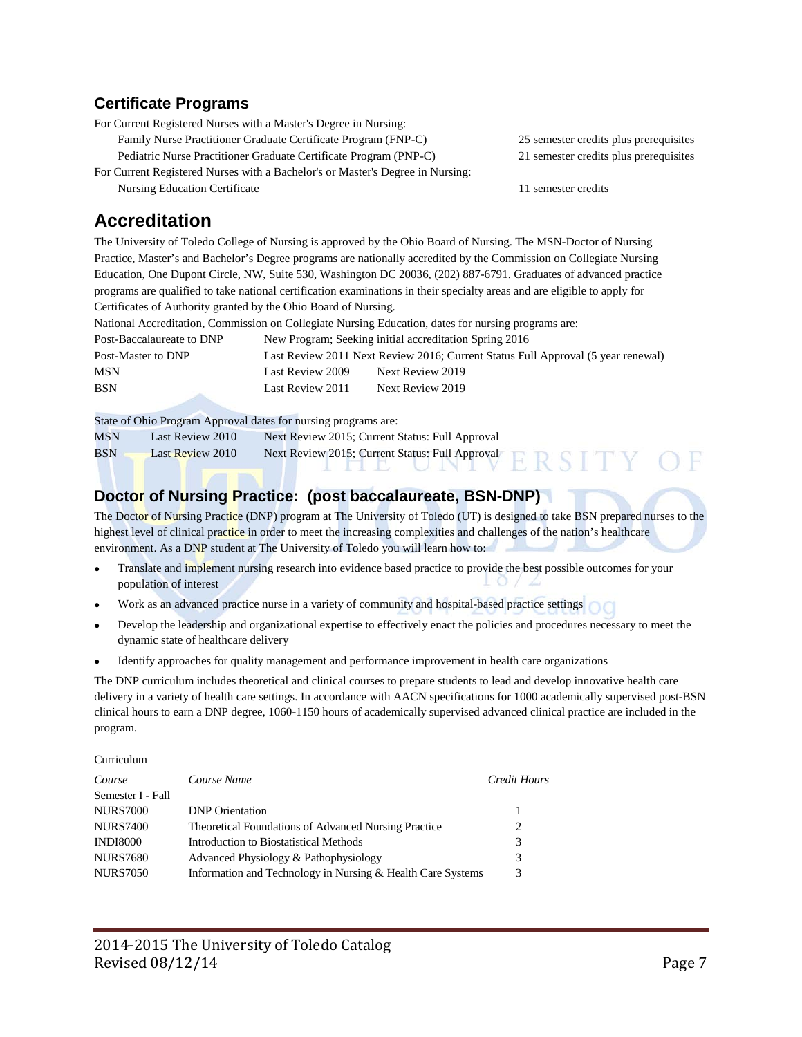## **Certificate Programs**

For Current Registered Nurses with a Master's Degree in Nursing: Family Nurse Practitioner Graduate Certificate Program (FNP-C) 25 semester credits plus prerequisites Pediatric Nurse Practitioner Graduate Certificate Program (PNP-C) 21 semester credits plus prerequisites

For Current Registered Nurses with a Bachelor's or Master's Degree in Nursing: Nursing Education Certificate 11 semester credits

## **Accreditation**

The University of Toledo College of Nursing is approved by the Ohio Board of Nursing. The MSN-Doctor of Nursing Practice, Master's and Bachelor's Degree programs are nationally accredited by the Commission on Collegiate Nursing Education, One Dupont Circle, NW, Suite 530, Washington DC 20036, (202) 887-6791. Graduates of advanced practice programs are qualified to take national certification examinations in their specialty areas and are eligible to apply for Certificates of Authority granted by the Ohio Board of Nursing.

National Accreditation, Commission on Collegiate Nursing Education, dates for nursing programs are:

| Post-Baccalaureate to DNP | New Program; Seeking initial accreditation Spring 2016                           |                  |
|---------------------------|----------------------------------------------------------------------------------|------------------|
| Post-Master to DNP        | Last Review 2011 Next Review 2016; Current Status Full Approval (5 year renewal) |                  |
| <b>MSN</b>                | Last Review 2009                                                                 | Next Review 2019 |
| <b>BSN</b>                | Last Review 2011                                                                 | Next Review 2019 |

State of Ohio Program Approval dates for nursing programs are:

| MSN | Last Review 2010        | Next Review 2015; Current Status: Full Approval |  |
|-----|-------------------------|-------------------------------------------------|--|
| BSN | <b>Last Review 2010</b> | Next Review 2015; Current Status: Full Approval |  |

## **Doctor of Nursing Practice: (post baccalaureate, BSN-DNP)**

The Doctor of Nursing Practice (DNP) program at The University of Toledo (UT) is designed to take BSN prepared nurses to the highest level of clinical practice in order to meet the increasing complexities and challenges of the nation's healthcare environment. As a DNP student at The University of Toledo you will learn how to:

- Translate and implement nursing research into evidence based practice to provide the best possible outcomes for your population of interest
- Work as an advanced practice nurse in a variety of community and hospital-based practice settings
- Develop the leadership and organizational expertise to effectively enact the policies and procedures necessary to meet the dynamic state of healthcare delivery
- Identify approaches for quality management and performance improvement in health care organizations

The DNP curriculum includes theoretical and clinical courses to prepare students to lead and develop innovative health care delivery in a variety of health care settings. In accordance with AACN specifications for 1000 academically supervised post-BSN clinical hours to earn a DNP degree, 1060-1150 hours of academically supervised advanced clinical practice are included in the program.

Curriculum

| Course            | Course Name                                                 | Credit Hours |
|-------------------|-------------------------------------------------------------|--------------|
| Semester I - Fall |                                                             |              |
| <b>NURS7000</b>   | <b>DNP</b> Orientation                                      | 1            |
| <b>NURS7400</b>   | <b>Theoretical Foundations of Advanced Nursing Practice</b> | 2            |
| <b>INDI8000</b>   | Introduction to Biostatistical Methods                      | 3            |
| <b>NURS7680</b>   | Advanced Physiology & Pathophysiology                       | 3            |
| <b>NURS7050</b>   | Information and Technology in Nursing & Health Care Systems | 3            |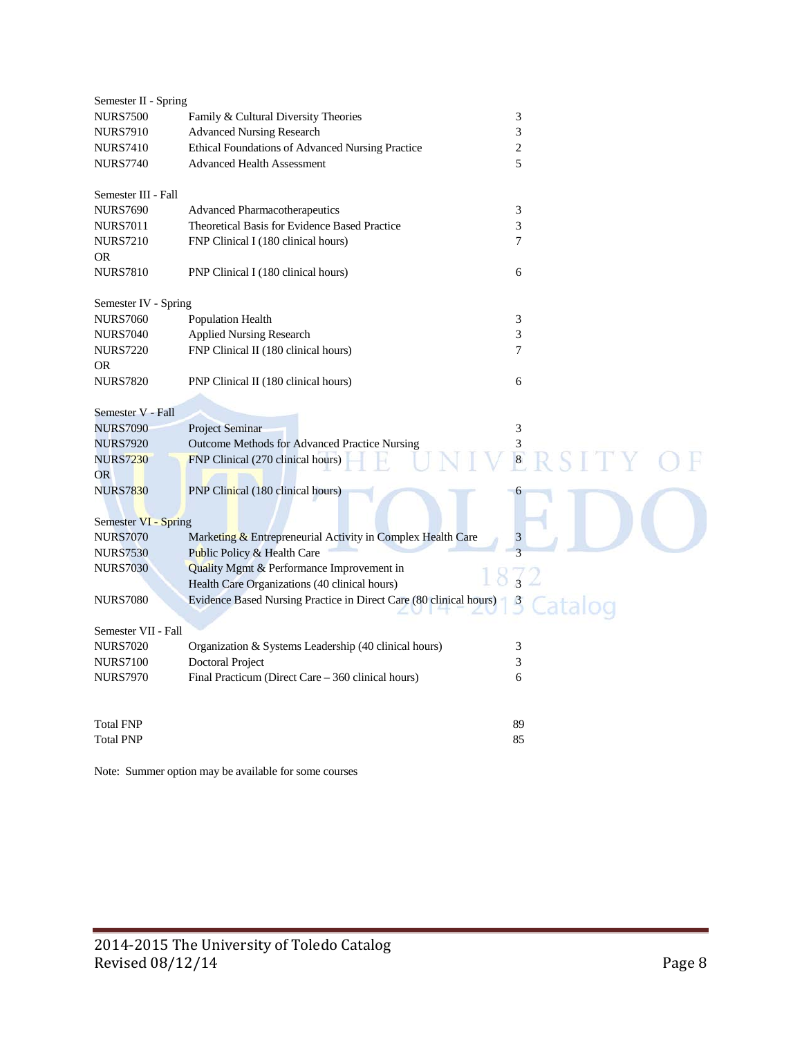| Semester II - Spring |                                                                    |                         |
|----------------------|--------------------------------------------------------------------|-------------------------|
| <b>NURS7500</b>      | Family & Cultural Diversity Theories                               | 3                       |
| <b>NURS7910</b>      | <b>Advanced Nursing Research</b>                                   | 3                       |
| <b>NURS7410</b>      | Ethical Foundations of Advanced Nursing Practice                   | $\overline{c}$          |
| <b>NURS7740</b>      | <b>Advanced Health Assessment</b>                                  | 5                       |
| Semester III - Fall  |                                                                    |                         |
| <b>NURS7690</b>      | Advanced Pharmacotherapeutics                                      | 3                       |
| <b>NURS7011</b>      | Theoretical Basis for Evidence Based Practice                      | 3                       |
| <b>NURS7210</b>      | FNP Clinical I (180 clinical hours)                                | 7                       |
| <b>OR</b>            |                                                                    |                         |
| <b>NURS7810</b>      | PNP Clinical I (180 clinical hours)                                | 6                       |
| Semester IV - Spring |                                                                    |                         |
| <b>NURS7060</b>      | <b>Population Health</b>                                           | 3                       |
| <b>NURS7040</b>      | <b>Applied Nursing Research</b>                                    | 3                       |
| <b>NURS7220</b>      | FNP Clinical II (180 clinical hours)                               | 7                       |
| <b>OR</b>            |                                                                    |                         |
| <b>NURS7820</b>      | PNP Clinical II (180 clinical hours)                               | 6                       |
| Semester V - Fall    |                                                                    |                         |
| <b>NURS7090</b>      | Project Seminar                                                    | 3                       |
| <b>NURS7920</b>      | Outcome Methods for Advanced Practice Nursing                      | 3                       |
| <b>NURS7230</b>      | FNP Clinical (270 clinical hours)                                  | $\overline{\mathbf{8}}$ |
| <b>OR</b>            |                                                                    |                         |
| <b>NURS7830</b>      | PNP Clinical (180 clinical hours)                                  |                         |
|                      |                                                                    |                         |
| Semester VI - Spring |                                                                    |                         |
| <b>NURS7070</b>      | Marketing & Entrepreneurial Activity in Complex Health Care        | $\mathfrak{Z}$          |
| <b>NURS7530</b>      | Public Policy & Health Care                                        |                         |
| <b>NURS7030</b>      | Quality Mgmt & Performance Improvement in                          |                         |
|                      | Health Care Organizations (40 clinical hours)                      |                         |
| <b>NURS7080</b>      | Evidence Based Nursing Practice in Direct Care (80 clinical hours) | $\beta$                 |
| Semester VII - Fall  |                                                                    |                         |
| <b>NURS7020</b>      | Organization & Systems Leadership (40 clinical hours)              | 3                       |
| <b>NURS7100</b>      | <b>Doctoral Project</b>                                            | 3                       |
| <b>NURS7970</b>      | Final Practicum (Direct Care - 360 clinical hours)                 | 6                       |
|                      |                                                                    |                         |
| <b>Total FNP</b>     |                                                                    | 89                      |
| <b>Total PNP</b>     |                                                                    | 85                      |
|                      |                                                                    |                         |

Note: Summer option may be available for some courses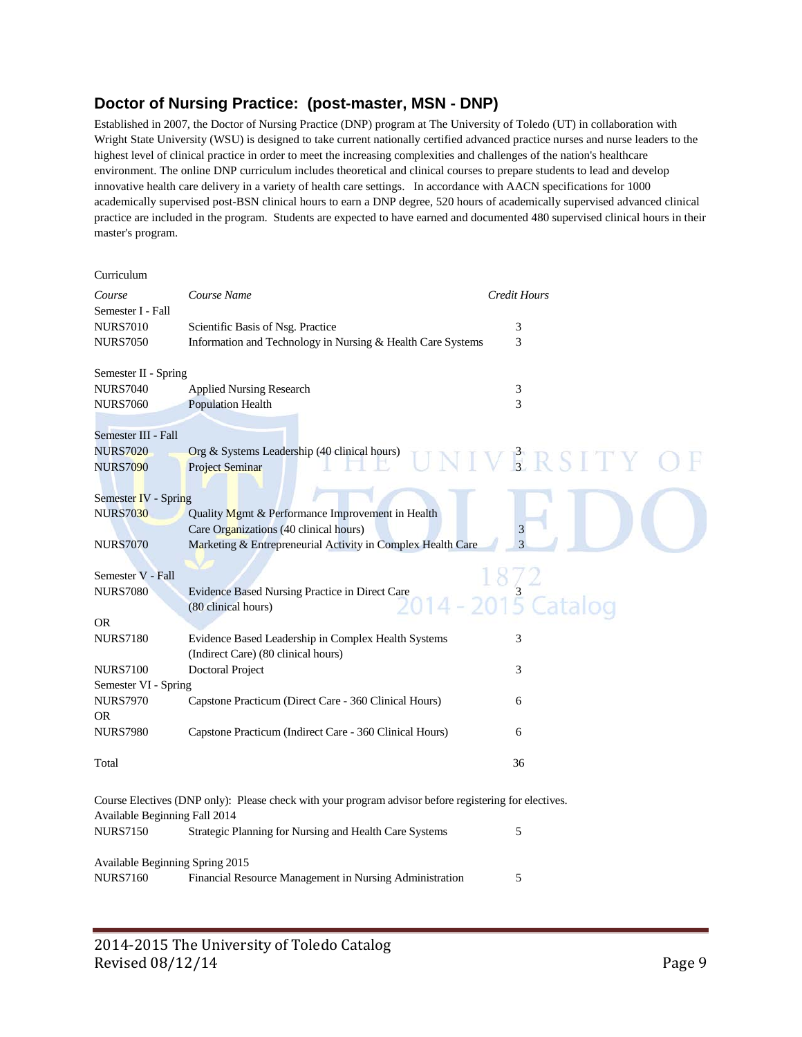## **Doctor of Nursing Practice: (post-master, MSN - DNP)**

Established in 2007, the Doctor of Nursing Practice (DNP) program at The University of Toledo (UT) in collaboration with Wright State University (WSU) is designed to take current nationally certified advanced practice nurses and nurse leaders to the highest level of clinical practice in order to meet the increasing complexities and challenges of the nation's healthcare environment. The online DNP curriculum includes theoretical and clinical courses to prepare students to lead and develop innovative health care delivery in a variety of health care settings. In accordance with AACN specifications for 1000 academically supervised post-BSN clinical hours to earn a DNP degree, 520 hours of academically supervised advanced clinical practice are included in the program. Students are expected to have earned and documented 480 supervised clinical hours in their master's program.

| Curriculum                      |                                                                                                       |                |
|---------------------------------|-------------------------------------------------------------------------------------------------------|----------------|
| Course                          | Course Name                                                                                           | Credit Hours   |
| Semester I - Fall               |                                                                                                       |                |
| <b>NURS7010</b>                 | Scientific Basis of Nsg. Practice                                                                     | 3              |
| <b>NURS7050</b>                 | Information and Technology in Nursing & Health Care Systems                                           | 3              |
| Semester II - Spring            |                                                                                                       |                |
| <b>NURS7040</b>                 | <b>Applied Nursing Research</b>                                                                       | 3              |
| <b>NURS7060</b>                 | <b>Population Health</b>                                                                              | 3              |
| Semester III - Fall             |                                                                                                       |                |
| <b>NURS7020</b>                 | Org & Systems Leadership (40 clinical hours)                                                          |                |
| <b>NURS7090</b>                 | <b>Project Seminar</b>                                                                                | IVERSIT        |
| Semester IV - Spring            |                                                                                                       |                |
| <b>NURS7030</b>                 | Quality Mgmt & Performance Improvement in Health                                                      |                |
|                                 | Care Organizations (40 clinical hours)                                                                | 3              |
| <b>NURS7070</b>                 | Marketing & Entrepreneurial Activity in Complex Health Care                                           | $\overline{3}$ |
| Semester V - Fall               |                                                                                                       |                |
| <b>NURS7080</b>                 |                                                                                                       |                |
|                                 | Evidence Based Nursing Practice in Direct Care<br>(80 clinical hours)                                 |                |
| <b>OR</b>                       |                                                                                                       |                |
| <b>NURS7180</b>                 | Evidence Based Leadership in Complex Health Systems<br>(Indirect Care) (80 clinical hours)            | 3              |
| <b>NURS7100</b>                 | Doctoral Project                                                                                      | 3              |
| Semester VI - Spring            |                                                                                                       |                |
| <b>NURS7970</b>                 | Capstone Practicum (Direct Care - 360 Clinical Hours)                                                 | 6              |
| OR.                             |                                                                                                       |                |
| <b>NURS7980</b>                 | Capstone Practicum (Indirect Care - 360 Clinical Hours)                                               | 6              |
| Total                           |                                                                                                       | 36             |
|                                 | Course Electives (DNP only): Please check with your program advisor before registering for electives. |                |
| Available Beginning Fall 2014   |                                                                                                       |                |
| <b>NURS7150</b>                 | Strategic Planning for Nursing and Health Care Systems                                                | 5              |
| Available Beginning Spring 2015 |                                                                                                       |                |
| <b>NURS7160</b>                 | Financial Resource Management in Nursing Administration                                               | 5              |
|                                 |                                                                                                       |                |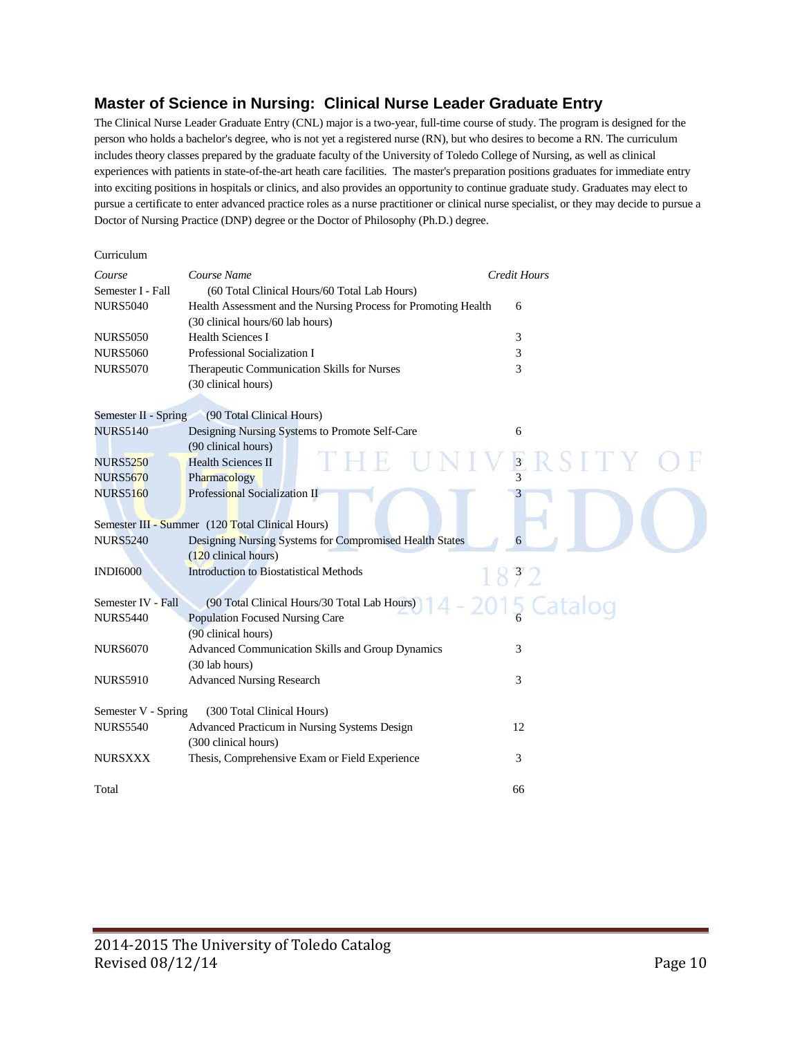## **Master of Science in Nursing: Clinical Nurse Leader Graduate Entry**

The Clinical Nurse Leader Graduate Entry (CNL) major is a two-year, full-time course of study. The program is designed for the person who holds a bachelor's degree, who is not yet a registered nurse (RN), but who desires to become a RN. The curriculum includes theory classes prepared by the graduate faculty of the University of Toledo College of Nursing, as well as clinical experiences with patients in state-of-the-art heath care facilities. The master's preparation positions graduates for immediate entry into exciting positions in hospitals or clinics, and also provides an opportunity to continue graduate study. Graduates may elect to pursue a certificate to enter advanced practice roles as a nurse practitioner or clinical nurse specialist, or they may decide to pursue a Doctor of Nursing Practice (DNP) degree or the Doctor of Philosophy (Ph.D.) degree.

| Curriculum           |                                                                                                    |                          |
|----------------------|----------------------------------------------------------------------------------------------------|--------------------------|
| Course               | Course Name                                                                                        | <b>Credit Hours</b>      |
| Semester I - Fall    | (60 Total Clinical Hours/60 Total Lab Hours)                                                       |                          |
| <b>NURS5040</b>      | Health Assessment and the Nursing Process for Promoting Health<br>(30 clinical hours/60 lab hours) | 6                        |
| <b>NURS5050</b>      | <b>Health Sciences I</b>                                                                           | 3                        |
| <b>NURS5060</b>      | Professional Socialization I                                                                       | 3                        |
| <b>NURS5070</b>      | Therapeutic Communication Skills for Nurses                                                        | 3                        |
|                      | (30 clinical hours)                                                                                |                          |
|                      |                                                                                                    |                          |
| Semester II - Spring | (90 Total Clinical Hours)                                                                          |                          |
| <b>NURS5140</b>      | Designing Nursing Systems to Promote Self-Care                                                     | 6                        |
|                      | (90 clinical hours)                                                                                |                          |
| <b>NURS5250</b>      | <b>Health Sciences II</b>                                                                          | $\overline{\mathbf{3}}$  |
| <b>NURS5670</b>      | Pharmacology                                                                                       | $\overline{\mathcal{E}}$ |
| <b>NURS5160</b>      | Professional Socialization II                                                                      |                          |
|                      | Semester III - Summer (120 Total Clinical Hours)                                                   |                          |
| <b>NURS5240</b>      | Designing Nursing Systems for Compromised Health States                                            | 6                        |
|                      | (120 clinical hours)                                                                               |                          |
| <b>INDI6000</b>      | <b>Introduction to Biostatistical Methods</b>                                                      |                          |
|                      |                                                                                                    | 832                      |
| Semester IV - Fall   | (90 Total Clinical Hours/30 Total Lab Hours)                                                       |                          |
| <b>NURS5440</b>      | <b>Population Focused Nursing Care</b>                                                             |                          |
|                      | (90 clinical hours)                                                                                |                          |
| <b>NURS6070</b>      | Advanced Communication Skills and Group Dynamics                                                   | 3                        |
|                      | (30 lab hours)                                                                                     |                          |
| <b>NURS5910</b>      | <b>Advanced Nursing Research</b>                                                                   | 3                        |
| Semester V - Spring  | (300 Total Clinical Hours)                                                                         |                          |
| <b>NURS5540</b>      | Advanced Practicum in Nursing Systems Design                                                       | 12                       |
|                      | (300 clinical hours)                                                                               |                          |
| <b>NURSXXX</b>       | Thesis, Comprehensive Exam or Field Experience                                                     | 3                        |
|                      |                                                                                                    |                          |
| Total                |                                                                                                    | 66                       |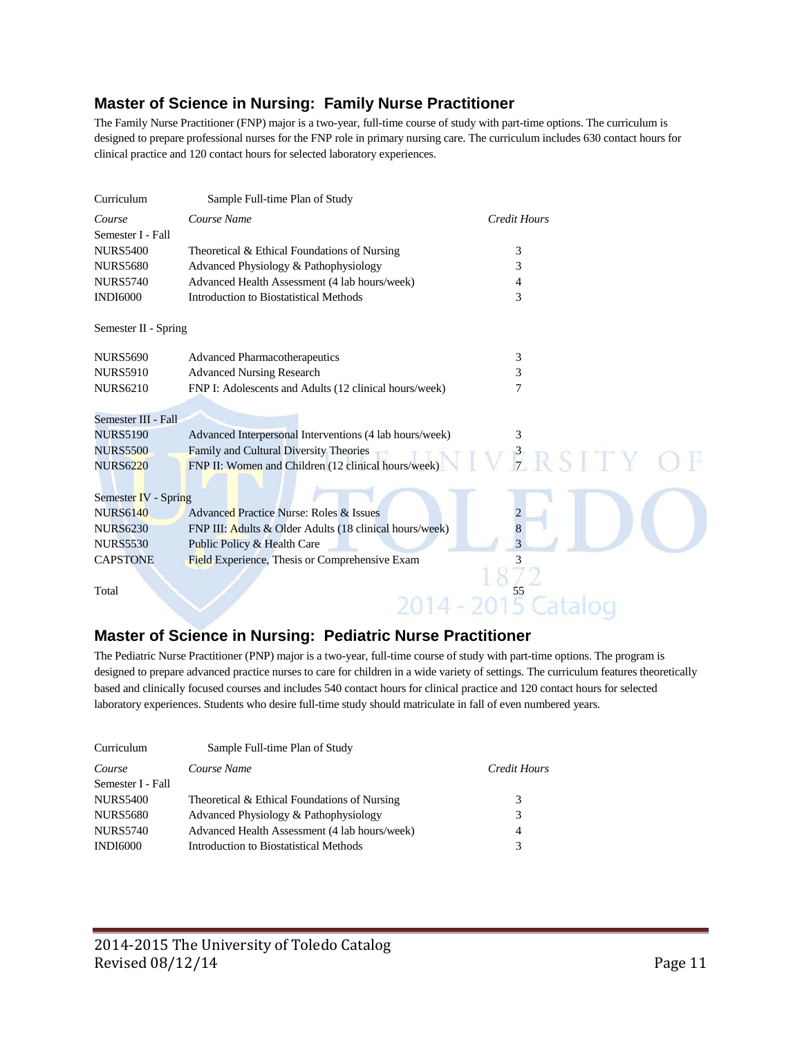## **Master of Science in Nursing: Family Nurse Practitioner**

The Family Nurse Practitioner (FNP) major is a two-year, full-time course of study with part-time options. The curriculum is designed to prepare professional nurses for the FNP role in primary nursing care. The curriculum includes 630 contact hours for clinical practice and 120 contact hours for selected laboratory experiences.

| Curriculum           | Sample Full-time Plan of Study                          |                     |
|----------------------|---------------------------------------------------------|---------------------|
| Course               | Course Name                                             | <b>Credit Hours</b> |
| Semester I - Fall    |                                                         |                     |
| <b>NURS5400</b>      | Theoretical & Ethical Foundations of Nursing            | 3                   |
| <b>NURS5680</b>      | Advanced Physiology & Pathophysiology                   | 3                   |
| <b>NURS5740</b>      | Advanced Health Assessment (4 lab hours/week)           | 4                   |
| <b>INDI6000</b>      | Introduction to Biostatistical Methods                  | 3                   |
| Semester II - Spring |                                                         |                     |
| <b>NURS5690</b>      | <b>Advanced Pharmacotherapeutics</b>                    | 3                   |
| <b>NURS5910</b>      | <b>Advanced Nursing Research</b>                        | 3                   |
| <b>NURS6210</b>      | FNP I: Adolescents and Adults (12 clinical hours/week)  | 7                   |
|                      |                                                         |                     |
| Semester III - Fall  |                                                         |                     |
| <b>NURS5190</b>      | Advanced Interpersonal Interventions (4 lab hours/week) | 3                   |
| <b>NURS5500</b>      | Family and Cultural Diversity Theories                  | $\frac{3}{7}$ RSITY |
| <b>NURS6220</b>      | FNP II: Women and Children (12 clinical hours/week)     |                     |
| Semester IV - Spring |                                                         |                     |
| <b>NURS6140</b>      | <b>Advanced Practice Nurse: Roles &amp; Issues</b>      |                     |
| <b>NURS6230</b>      | FNP III: Adults & Older Adults (18 clinical hours/week) | 8                   |
| <b>NURS5530</b>      | Public Policy & Health Care                             | 3                   |
| <b>CAPSTONE</b>      | Field Experience, Thesis or Comprehensive Exam          |                     |
|                      |                                                         |                     |
| Total                |                                                         | $\frac{55}{2}$      |
|                      |                                                         |                     |

## **Master of Science in Nursing: Pediatric Nurse Practitioner**

The Pediatric Nurse Practitioner (PNP) major is a two-year, full-time course of study with part-time options. The program is designed to prepare advanced practice nurses to care for children in a wide variety of settings. The curriculum features theoretically based and clinically focused courses and includes 540 contact hours for clinical practice and 120 contact hours for selected laboratory experiences. Students who desire full-time study should matriculate in fall of even numbered years.

| Curriculum        | Sample Full-time Plan of Study                |              |
|-------------------|-----------------------------------------------|--------------|
| Course            | Course Name                                   | Credit Hours |
| Semester I - Fall |                                               |              |
| <b>NURS5400</b>   | Theoretical & Ethical Foundations of Nursing  | 3            |
| <b>NURS5680</b>   | Advanced Physiology & Pathophysiology         | 3            |
| <b>NURS5740</b>   | Advanced Health Assessment (4 lab hours/week) | 4            |
| INDI6000          | Introduction to Biostatistical Methods        |              |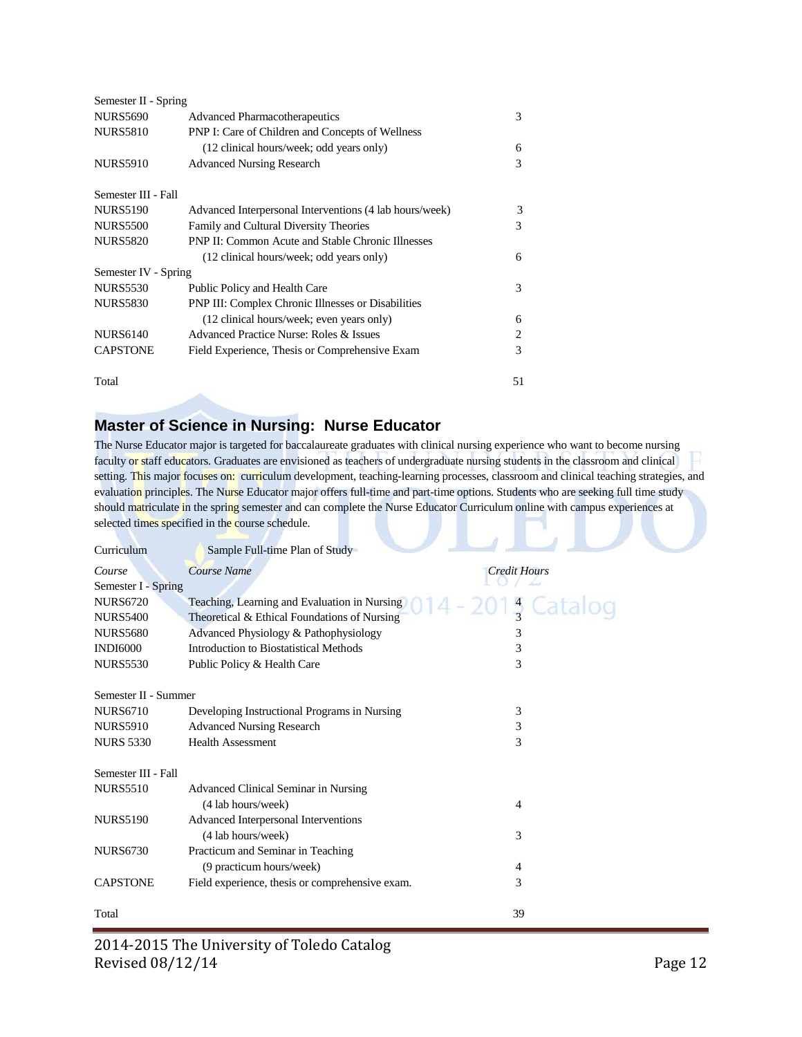| Semester II - Spring |                                                           |    |
|----------------------|-----------------------------------------------------------|----|
| <b>NURS5690</b>      | <b>Advanced Pharmacotherapeutics</b>                      | 3  |
| <b>NURS5810</b>      | PNP I: Care of Children and Concepts of Wellness          |    |
|                      | (12 clinical hours/week; odd years only)                  | 6  |
| <b>NURS5910</b>      | <b>Advanced Nursing Research</b>                          | 3  |
| Semester III - Fall  |                                                           |    |
| <b>NURS5190</b>      | Advanced Interpersonal Interventions (4 lab hours/week)   | 3  |
| <b>NURS5500</b>      | Family and Cultural Diversity Theories                    | 3  |
| <b>NURS5820</b>      | <b>PNP II: Common Acute and Stable Chronic Illnesses</b>  |    |
|                      | (12 clinical hours/week; odd years only)                  | 6  |
| Semester IV - Spring |                                                           |    |
| <b>NURS5530</b>      | Public Policy and Health Care                             | 3  |
| <b>NURS5830</b>      | <b>PNP III: Complex Chronic Illnesses or Disabilities</b> |    |
|                      | (12 clinical hours/week; even years only)                 | 6  |
| <b>NURS6140</b>      | Advanced Practice Nurse: Roles & Issues                   | 2  |
| <b>CAPSTONE</b>      | Field Experience, Thesis or Comprehensive Exam            | 3  |
| Total                |                                                           | 51 |

## **Master of Science in Nursing: Nurse Educator**

The Nurse Educator major is targeted for baccalaureate graduates with clinical nursing experience who want to become nursing faculty or staff educators. Graduates are envisioned as teachers of undergraduate nursing students in the classroom and clinical setting. This major focuses on: curriculum development, teaching-learning processes, classroom and clinical teaching strategies, and evaluation principles. The Nurse Educator major offers full-time and part-time options. Students who are seeking full time study should matriculate in the spring semester and can complete the Nurse Educator Curriculum online with campus experiences at selected times specified in the course schedule.

| Curriculum           | Sample Full-time Plan of Study                  |              |
|----------------------|-------------------------------------------------|--------------|
| Course               | Course Name                                     | Credit Hours |
| Semester I - Spring  |                                                 |              |
| <b>NURS6720</b>      | Teaching, Learning and Evaluation in Nursing    |              |
| <b>NURS5400</b>      | Theoretical & Ethical Foundations of Nursing    |              |
| <b>NURS5680</b>      | Advanced Physiology & Pathophysiology           | 3            |
| <b>INDI6000</b>      | Introduction to Biostatistical Methods          | 3            |
| <b>NURS5530</b>      | Public Policy & Health Care                     | 3            |
| Semester II - Summer |                                                 |              |
| <b>NURS6710</b>      | Developing Instructional Programs in Nursing    | 3            |
| <b>NURS5910</b>      | <b>Advanced Nursing Research</b>                | 3            |
| <b>NURS 5330</b>     | <b>Health Assessment</b>                        | 3            |
| Semester III - Fall  |                                                 |              |
| <b>NURS5510</b>      | Advanced Clinical Seminar in Nursing            |              |
|                      | (4 lab hours/week)                              | 4            |
| <b>NURS5190</b>      | Advanced Interpersonal Interventions            |              |
|                      | (4 lab hours/week)                              | 3            |
| <b>NURS6730</b>      | Practicum and Seminar in Teaching               |              |
|                      | (9 practicum hours/week)                        | 4            |
| <b>CAPSTONE</b>      | Field experience, thesis or comprehensive exam. | 3            |
| Total                |                                                 | 39           |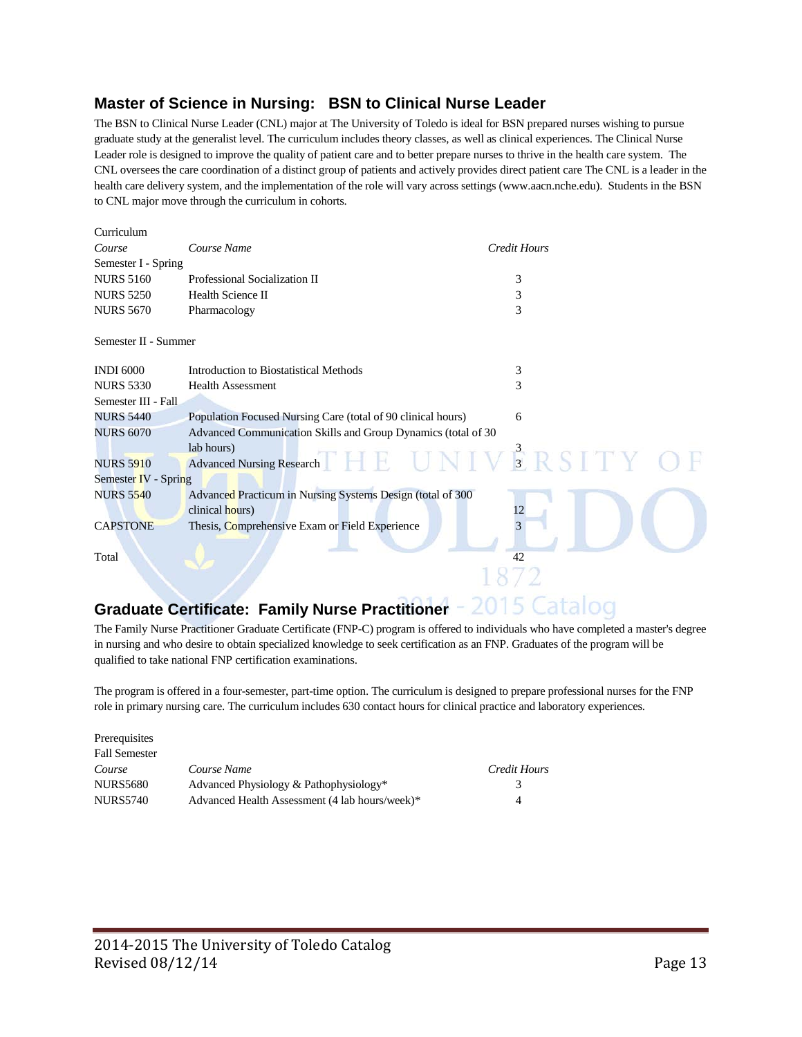## **Master of Science in Nursing: BSN to Clinical Nurse Leader**

The BSN to Clinical Nurse Leader (CNL) major at The University of Toledo is ideal for BSN prepared nurses wishing to pursue graduate study at the generalist level. The curriculum includes theory classes, as well as clinical experiences. The Clinical Nurse Leader role is designed to improve the quality of patient care and to better prepare nurses to thrive in the health care system. The CNL oversees the care coordination of a distinct group of patients and actively provides direct patient care The CNL is a leader in the health care delivery system, and the implementation of the role will vary across settings (www.aacn.nche.edu). Students in the BSN to CNL major move through the curriculum in cohorts.

| Curriculum           |                                                               |                     |  |
|----------------------|---------------------------------------------------------------|---------------------|--|
| Course               | Course Name                                                   | <b>Credit Hours</b> |  |
| Semester I - Spring  |                                                               |                     |  |
| <b>NURS 5160</b>     | Professional Socialization II                                 | 3                   |  |
| <b>NURS 5250</b>     | Health Science II                                             | 3                   |  |
| <b>NURS 5670</b>     | Pharmacology                                                  | 3                   |  |
| Semester II - Summer |                                                               |                     |  |
| <b>INDI 6000</b>     | Introduction to Biostatistical Methods                        | 3                   |  |
| <b>NURS 5330</b>     | <b>Health Assessment</b>                                      | 3                   |  |
| Semester III - Fall. |                                                               |                     |  |
| <b>NURS 5440</b>     | Population Focused Nursing Care (total of 90 clinical hours)  | 6                   |  |
| <b>NURS 6070</b>     | Advanced Communication Skills and Group Dynamics (total of 30 |                     |  |
|                      | lab hours)                                                    |                     |  |
| <b>NURS 5910</b>     | Advanced Nursing Research $THE$ UNIVERSITY O                  |                     |  |
| Semester IV - Spring |                                                               |                     |  |
| <b>NURS 5540</b>     | Advanced Practicum in Nursing Systems Design (total of 300    |                     |  |
|                      | clinical hours)                                               | 12                  |  |
| <b>CAPSTONE</b>      | Thesis, Comprehensive Exam or Field Experience                |                     |  |
| Total                |                                                               | 42                  |  |
|                      |                                                               |                     |  |

## **Graduate Certificate: Family Nurse Practitioner**

The Family Nurse Practitioner Graduate Certificate (FNP-C) program is offered to individuals who have completed a master's degree in nursing and who desire to obtain specialized knowledge to seek certification as an FNP. Graduates of the program will be qualified to take national FNP certification examinations.

The program is offered in a four-semester, part-time option. The curriculum is designed to prepare professional nurses for the FNP role in primary nursing care. The curriculum includes 630 contact hours for clinical practice and laboratory experiences.

| Prerequisites        |                                                |              |
|----------------------|------------------------------------------------|--------------|
| <b>Fall Semester</b> |                                                |              |
| Course               | Course Name                                    | Credit Hours |
| <b>NURS5680</b>      | Advanced Physiology & Pathophysiology*         | 3            |
| <b>NURS5740</b>      | Advanced Health Assessment (4 lab hours/week)* | 4            |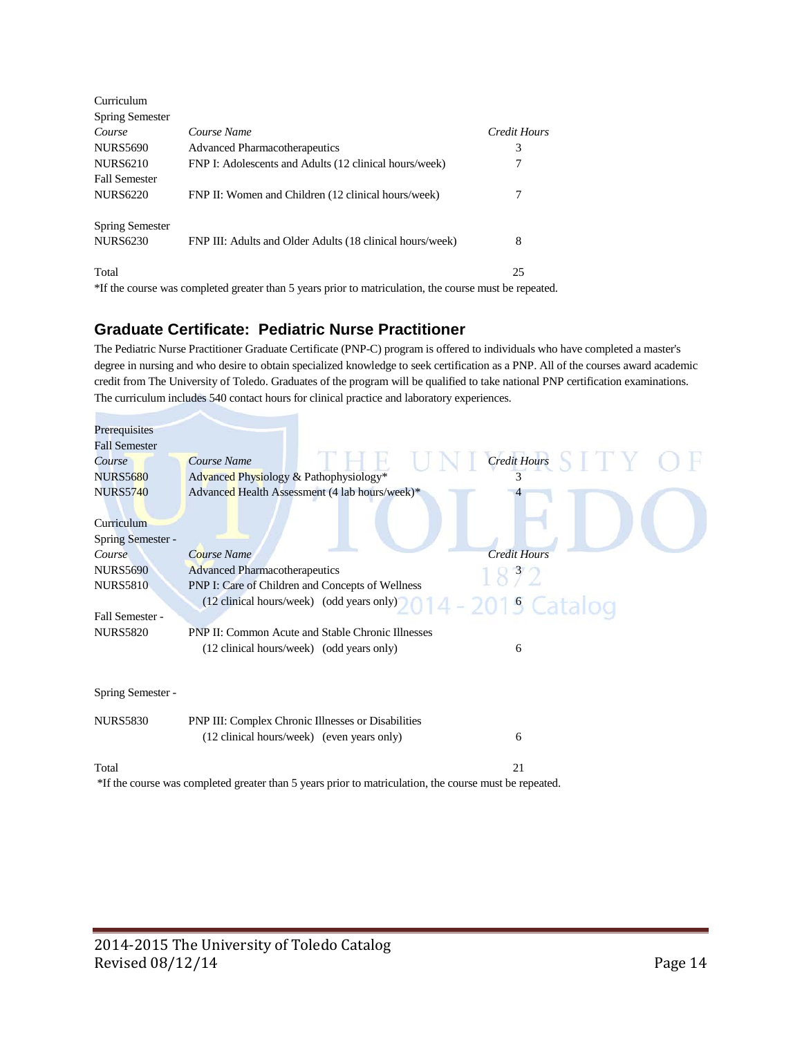| Curriculum             |                                                                                                        |              |
|------------------------|--------------------------------------------------------------------------------------------------------|--------------|
| <b>Spring Semester</b> |                                                                                                        |              |
| Course                 | Course Name                                                                                            | Credit Hours |
| <b>NURS5690</b>        | <b>Advanced Pharmacotherapeutics</b>                                                                   | 3            |
| <b>NURS6210</b>        | FNP I: Adolescents and Adults (12 clinical hours/week)                                                 | 7            |
| <b>Fall Semester</b>   |                                                                                                        |              |
| <b>NURS6220</b>        | FNP II: Women and Children (12 clinical hours/week)                                                    | 7            |
| <b>Spring Semester</b> |                                                                                                        |              |
| <b>NURS6230</b>        | FNP III: Adults and Older Adults (18 clinical hours/week)                                              | 8            |
| Total                  |                                                                                                        | 25           |
|                        | *If the course was completed greater than 5 years prior to matriculation, the course must be repeated. |              |

## **Graduate Certificate: Pediatric Nurse Practitioner**

The Pediatric Nurse Practitioner Graduate Certificate (PNP-C) program is offered to individuals who have completed a master's degree in nursing and who desire to obtain specialized knowledge to seek certification as a PNP. All of the courses award academic credit from The University of Toledo. Graduates of the program will be qualified to take national PNP certification examinations. The curriculum includes 540 contact hours for clinical practice and laboratory experiences.

| Prerequisites        |                                                                                                     |                     |
|----------------------|-----------------------------------------------------------------------------------------------------|---------------------|
| <b>Fall Semester</b> |                                                                                                     |                     |
| Course               | Course Name                                                                                         | <b>Credit Hours</b> |
| <b>NURS5680</b>      | Advanced Physiology & Pathophysiology*                                                              | 3                   |
| <b>NURS5740</b>      | Advanced Health Assessment (4 lab hours/week)*                                                      |                     |
| Curriculum           |                                                                                                     |                     |
| Spring Semester -    |                                                                                                     |                     |
| Course               | Course Name                                                                                         | <b>Credit Hours</b> |
| <b>NURS5690</b>      | <b>Advanced Pharmacotherapeutics</b>                                                                | 1872                |
| <b>NURS5810</b>      | PNP I: Care of Children and Concepts of Wellness                                                    |                     |
|                      | (12 clinical hours/week) (odd years only)                                                           | 014 - 2015 Catalog  |
| Fall Semester -      |                                                                                                     |                     |
| <b>NURS5820</b>      | <b>PNP II: Common Acute and Stable Chronic Illnesses</b>                                            |                     |
|                      | (12 clinical hours/week) (odd years only)                                                           | 6                   |
| Spring Semester -    |                                                                                                     |                     |
| <b>NURS5830</b>      | PNP III: Complex Chronic Illnesses or Disabilities                                                  |                     |
|                      | (12 clinical hours/week) (even years only)                                                          | 6                   |
| Total                |                                                                                                     | 21                  |
|                      | If the course was completed greater than 5 years prior to matriculation the course must be repeated |                     |

\*If the course was completed greater than 5 years prior to matriculation, the course must be repeated.